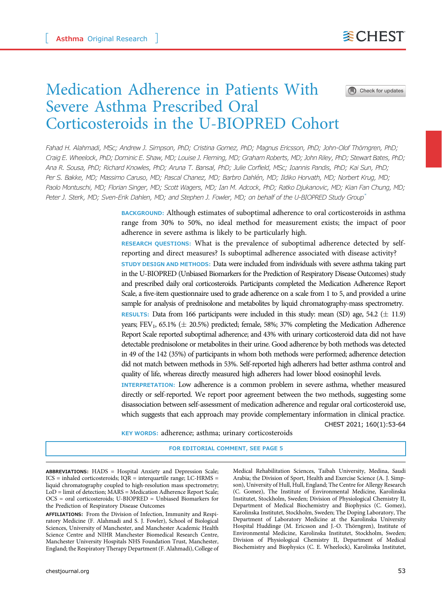# Medication Adherence in Patients With Severe Asthma Prescribed Oral Corticosteroids in the U-BIOPRED Cohort



Fahad H. Alahmadi, MSc; Andrew J. Simpson, PhD; Cristina Gomez, PhD; Magnus Ericsson, PhD; John-Olof Thörngren, PhD; Craig E. Wheelock, PhD; Dominic E. Shaw, MD; Louise J. Fleming, MD; Graham Roberts, MD; John Riley, PhD; Stewart Bates, PhD; Ana R. Sousa, PhD; Richard Knowles, PhD; Aruna T. Bansal, PhD; Julie Corfield, MSc; Ioannis Pandis, PhD; Kai Sun, PhD; Per S. Bakke, MD; Massimo Caruso, MD; Pascal Chanez, MD; Barbro Dahlén, MD; Ildiko Horvath, MD; Norbert Krug, MD; Paolo Montuschi, MD; Florian Singer, MD; Scott Wagers, MD; Ian M. Adcock, PhD; Ratko Djukanovic, MD; Kian Fan Chung, MD; Peter J. Sterk, MD; Sven-Erik Dahlen, MD; and Stephen J. Fowler, MD; on behalf of the U-BIOPRED Study Grou[p\\*](#page-1-0)

> BACKGROUND: Although estimates of suboptimal adherence to oral corticosteroids in asthma range from 30% to 50%, no ideal method for measurement exists; the impact of poor adherence in severe asthma is likely to be particularly high.

> RESEARCH QUESTIONS: What is the prevalence of suboptimal adherence detected by selfreporting and direct measures? Is suboptimal adherence associated with disease activity?

> STUDY DESIGN AND METHODS: Data were included from individuals with severe asthma taking part in the U-BIOPRED (Unbiased Biomarkers for the Prediction of Respiratory Disease Outcomes) study and prescribed daily oral corticosteroids. Participants completed the Medication Adherence Report Scale, a five-item questionnaire used to grade adherence on a scale from 1 to 5, and provided a urine sample for analysis of prednisolone and metabolites by liquid chromatography-mass spectrometry.

> RESULTS: Data from 166 participants were included in this study: mean (SD) age, 54.2 ( $\pm$  11.9) years; FEV<sub>1</sub>, 65.1% ( $\pm$  20.5%) predicted; female, 58%; 37% completing the Medication Adherence Report Scale reported suboptimal adherence; and 43% with urinary corticosteroid data did not have detectable prednisolone or metabolites in their urine. Good adherence by both methods was detected in 49 of the 142 (35%) of participants in whom both methods were performed; adherence detection did not match between methods in 53%. Self-reported high adherers had better asthma control and quality of life, whereas directly measured high adherers had lower blood eosinophil levels.

> INTERPRETATION: Low adherence is a common problem in severe asthma, whether measured directly or self-reported. We report poor agreement between the two methods, suggesting some disassociation between self-assessment of medication adherence and regular oral corticosteroid use, which suggests that each approach may provide complementary information in clinical practice.

CHEST 2021; 160(1):53-64

KEY WORDS: adherence; asthma; urinary corticosteroids

#### FOR EDITORIAL COMMENT, SEE PAGE 5

ABBREVIATIONS: HADS = Hospital Anxiety and Depression Scale; ICS = inhaled corticosteroids; IQR = interquartile range; LC-HRMS = liquid chromatography coupled to high-resolution mass spectrometry; LoD = limit of detection; MARS = Medication Adherence Report Scale; OCS = oral corticosteroids; U-BIOPRED = Unbiased Biomarkers for the Prediction of Respiratory Disease Outcomes

AFFILIATIONS: From the Division of Infection, Immunity and Respiratory Medicine (F. Alahmadi and S. J. Fowler), School of Biological Sciences, University of Manchester, and Manchester Academic Health Science Centre and NIHR Manchester Biomedical Research Centre, Manchester University Hospitals NHS Foundation Trust, Manchester, England; the Respiratory Therapy Department (F. Alahmadi), College of Medical Rehabilitation Sciences, Taibah University, Medina, Saudi Arabia; the Division of Sport, Health and Exercise Science (A. J. Simpson), University of Hull, Hull, England; The Centre for Allergy Research (C. Gomez), The Institute of Environmental Medicine, Karolinska Institutet, Stockholm, Sweden; Division of Physiological Chemistry II, Department of Medical Biochemistry and Biophysics (C. Gomez), Karolinska Institutet, Stockholm, Sweden; The Doping Laboratory, The Department of Laboratory Medicine at the Karolinska University Hospital Huddinge (M. Ericsson and J.-O. Thörngren), Institute of Environmental Medicine, Karolinska Institutet, Stockholm, Sweden; Division of Physiological Chemistry II, Department of Medical Biochemistry and Biophysics (C. E. Wheelock), Karolinska Institutet,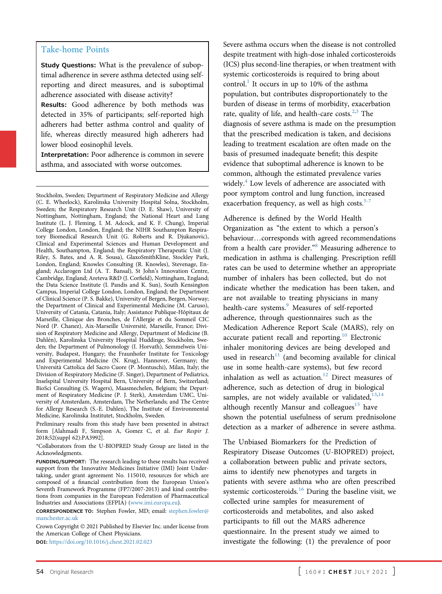## Take-home Points

Study Questions: What is the prevalence of suboptimal adherence in severe asthma detected using selfreporting and direct measures, and is suboptimal adherence associated with disease activity?

Results: Good adherence by both methods was detected in 35% of participants; self-reported high adherers had better asthma control and quality of life, whereas directly measured high adherers had lower blood eosinophil levels.

Interpretation: Poor adherence is common in severe asthma, and associated with worse outcomes.

Stockholm, Sweden; Department of Respiratory Medicine and Allergy (C. E. Wheelock), Karolinska University Hospital Solna, Stockholm, Sweden; the Respiratory Research Unit (D. E. Shaw), University of Nottingham, Nottingham, England; the National Heart and Lung Institute (L. J. Fleming, I. M. Adcock, and K. F. Chung), Imperial College London, London, England; the NIHR Southampton Respiratory Biomedical Research Unit (G. Roberts and R. Djukanovic), Clinical and Experimental Sciences and Human Development and Health, Southampton, England; the Respiratory Therapeutic Unit (J. Riley, S. Bates, and A. R. Sousa), GlaxoSmithKline, Stockley Park, London, England; Knowles Consulting (R. Knowles), Stevenage, England; Acclarogen Ltd (A. T. Bansal), St John's Innovation Centre, Cambridge, England; Areteva R&D (J. Corfield), Nottingham, England; the Data Science Institute (I. Pandis and K. Sun), South Kensington Campus, Imperial College London, London, England; the Department of Clinical Science (P. S. Bakke), University of Bergen, Bergen, Norway; the Department of Clinical and Experimental Medicine (M. Caruso), University of Catania, Catania, Italy; Assistance Publique-Hôpitaux de Marseille, Clinique des Bronches, de l'Allergie et du Sommeil CIC Nord (P. Chanez), Aix-Marseille Université, Marseille, France; Division of Respiratory Medicine and Allergy, Department of Medicine (B. Dahlén), Karolinska University Hospital Huddinge, Stockholm, Sweden; the Department of Pulmonology (I. Horvath), Semmelweis University, Budapest, Hungary; the Fraunhofer Institute for Toxicology and Experimental Medicine (N. Krug), Hannover, Germany; the Università Cattolica del Sacro Cuore (P. Montuschi), Milan, Italy; the Division of Respiratory Medicine (F. Singer), Department of Pediatrics, Inselspital University Hospital Bern, University of Bern, Switzerland; BioSci Consulting (S. Wagers), Maasmechelen, Belgium; the Department of Respiratory Medicine (P. J. Sterk), Amsterdam UMC, University of Amsterdam, Amsterdam, The Netherlands; and The Centre for Allergy Research (S.-E. Dahlen), The Institute of Environmental Medicine, Karolinska Institutet, Stockholm, Sweden.

Preliminary results from this study have been presented in abstract form [Alahmadi F, Simpson A, Gomez C, et al. Eur Respir J. 2018;52(suppl 62):PA3992].

<span id="page-1-0"></span>\*Collaborators from the U-BIOPRED Study Group are listed in the Acknowledgments.

FUNDING/SUPPORT: The research leading to these results has received support from the Innovative Medicines Initiative (IMI) Joint Undertaking, under grant agreement No. 115010, resources for which are composed of a financial contribution from the European Union's Seventh Framework Programme (FP7/2007-2013) and kind contributions from companies in the European Federation of Pharmaceutical Industries and Associations (EFPIA) [\(www.imi.europa.eu\)](http://www.imi.europa.eu).

CORRESPONDENCE TO: Stephen Fowler, MD; email: [stephen.fowler@](mailto:stephen.fowler@manchester.ac.uk) [manchester.ac.uk](mailto:stephen.fowler@manchester.ac.uk)

Crown Copyright © 2021 Published by Elsevier Inc. under license from the American College of Chest Physicians.

DOI: <https://doi.org/10.1016/j.chest.2021.02.023>

Severe asthma occurs when the disease is not controlled despite treatment with high-dose inhaled corticosteroids (ICS) plus second-line therapies, or when treatment with systemic corticosteroids is required to bring about control.<sup>[1](#page-10-0)</sup> It occurs in up to 10% of the asthma population, but contributes disproportionately to the burden of disease in terms of morbidity, exacerbation rate, quality of life, and health-care costs. $2,3$  $2,3$  The diagnosis of severe asthma is made on the presumption that the prescribed medication is taken, and decisions leading to treatment escalation are often made on the basis of presumed inadequate benefit; this despite evidence that suboptimal adherence is known to be common, although the estimated prevalence varies widely.<sup>4</sup> Low levels of adherence are associated with poor symptom control and lung function, increased exacerbation frequency, as well as high costs.<sup>[5-7](#page-10-4)</sup>

Adherence is defined by the World Health Organization as "the extent to which a person's behaviour...corresponds with agreed recommendations from a health care provider."<sup>[8](#page-10-5)</sup> Measuring adherence to medication in asthma is challenging. Prescription refill rates can be used to determine whether an appropriate number of inhalers has been collected, but do not indicate whether the medication has been taken, and are not available to treating physicians in many health-care systems.<sup>[9](#page-10-6)</sup> Measures of self-reported adherence, through questionnaires such as the Medication Adherence Report Scale (MARS), rely on accurate patient recall and reporting.<sup>[10](#page-10-7)</sup> Electronic inhaler monitoring devices are being developed and used in research<sup>[11](#page-10-8)</sup> (and becoming available for clinical use in some health-care systems), but few record inhalation as well as actuation.<sup>[12](#page-10-9)</sup> Direct measures of adherence, such as detection of drug in biological samples, are not widely available or validated, $13,14$  $13,14$ although recently Mansur and colleagues<sup>[15](#page-10-12)</sup> have shown the potential usefulness of serum prednisolone detection as a marker of adherence in severe asthma.

The Unbiased Biomarkers for the Prediction of Respiratory Disease Outcomes (U-BIOPRED) project, a collaboration between public and private sectors, aims to identify new phenotypes and targets in patients with severe asthma who are often prescribed systemic corticosteroids. $16$  During the baseline visit, we collected urine samples for measurement of corticosteroids and metabolites, and also asked participants to fill out the MARS adherence questionnaire. In the present study we aimed to investigate the following: (1) the prevalence of poor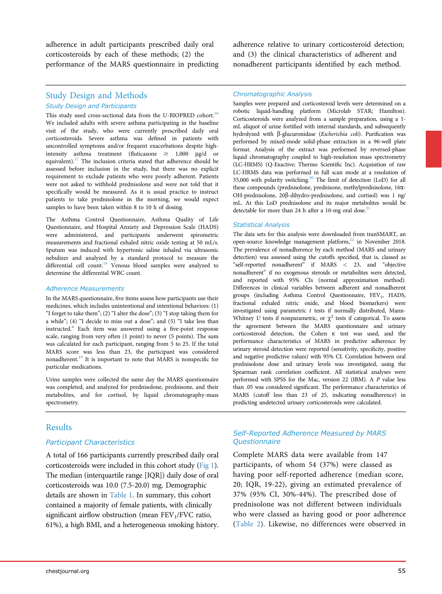adherence in adult participants prescribed daily oral corticosteroids by each of these methods; (2) the performance of the MARS questionnaire in predicting

Study Design and Methods

#### Study Design and Participants

This study used cross-sectional data from the U-BIOPRED cohort.<sup>16</sup> We included adults with severe asthma participating in the baseline visit of the study, who were currently prescribed daily oral corticosteroids. Severe asthma was defined in patients with uncontrolled symptoms and/or frequent exacerbations despite highintensity asthma treatment (fluticasone  $\geq$  1,000  $\mu$ g/d or equivalent).<sup>[17](#page-10-14)</sup> The inclusion criteria stated that adherence should be assessed before inclusion in the study, but there was no explicit requirement to exclude patients who were poorly adherent. Patients were not asked to withhold prednisolone and were not told that it specifically would be measured. As it is usual practice to instruct patients to take prednisolone in the morning, we would expect samples to have been taken within 8 to 10 h of dosing.

The Asthma Control Questionnaire, Asthma Quality of Life Questionnaire, and Hospital Anxiety and Depression Scale (HADS) were administered, and participants underwent spirometric measurements and fractional exhaled nitric oxide testing at 50 mL/s. Sputum was induced with hypertonic saline inhaled via ultrasonic nebulizer and analyzed by a standard protocol to measure the differential cell count.<sup>18</sup> Venous blood samples were analyzed to determine the differential WBC count.

#### Adherence Measurements

In the MARS questionnaire, five items assess how participants use their medicines, which includes unintentional and intentional behaviors: (1) "I forget to take them"; (2) "I alter the dose"; (3) "I stop taking them for a while"; (4) "I decide to miss out a dose"; and (5) "I take less than instructed." Each item was answered using a five-point response scale, ranging from very often (1 point) to never (5 points). The sum was calculated for each participant, ranging from 5 to 25. If the total MARS score was less than 23, the participant was considered nonadherent.[19](#page-10-16) It is important to note that MARS is nonspecific for particular medications.

Urine samples were collected the same day the MARS questionnaire was completed, and analyzed for prednisolone, prednisone, and their metabolites, and for cortisol, by liquid chromatography-mass spectrometry.

## Results

## Participant Characteristics

A total of 166 participants currently prescribed daily oral corticosteroids were included in this cohort study [\(Fig 1](#page-3-0)). The median (interquartile range [IQR]) daily dose of oral corticosteroids was 10.0 (7.5-20.0) mg. Demographic details are shown in [Table 1.](#page-3-1) In summary, this cohort contained a majority of female patients, with clinically significant airflow obstruction (mean  $FEV<sub>1</sub>/FVC$  ratio, 61%), a high BMI, and a heterogeneous smoking history. adherence relative to urinary corticosteroid detection; and (3) the clinical characteristics of adherent and nonadherent participants identified by each method.

#### Chromatographic Analysis

Samples were prepared and corticosteroid levels were determined on a robotic liquid-handling platform (Microlab STAR; Hamilton). Corticosteroids were analyzed from a sample preparation, using a 1 mL aliquot of urine fortified with internal standards, and subsequently hydrolyzed with β-glucuronidase (Escherichia coli). Purification was performed by mixed-mode solid-phase extraction in a 96-well plate format. Analysis of the extract was performed by reversed-phase liquid chromatography coupled to high-resolution mass spectrometry (LC-HRMS) (Q-Exactive; Thermo Scientific Inc). Acquisition of raw LC-HRMS data was performed in full scan mode at a resolution of 35,000 with polarity switching[.20](#page-10-17) The limit of detection (LoD) for all these compounds (prednisolone, prednisone, methylprednisolone, 16a-OH-prednisolone, 20β-dihydro-prednisolone, and cortisol) was 1 ng/ mL. At this LoD prednisolone and its major metabolites would be detectable for more than 24 h after a 10-mg oral dose.<sup>21</sup>

#### Statistical Analysis

The data sets for this analysis were downloaded from tranSMART, an open-source knowledge management platform,<sup>22</sup> in November 2018. The prevalence of nonadherence by each method (MARS and urinary detection) was assessed using the cutoffs specified, that is, classed as "self-reported nonadherent" if MARS < 23, and "objective nonadherent" if no exogenous steroids or metabolites were detected, and reported with 95% CIs (normal approximation method). Differences in clinical variables between adherent and nonadherent groups (including Asthma Control Questionnaire, FEV<sub>1</sub>, HADS, fractional exhaled nitric oxide, and blood biomarkers) were investigated using parametric  $t$  tests if normally distributed, Mann-Whitney U tests if nonparametric, or  $\chi^2$  tests if categorical. To assess the agreement between the MARS questionnaire and urinary corticosteroid detection, the Cohen k test was used, and the performance characteristics of MARS in predictive adherence by urinary steroid detection were reported (sensitivity, specificity, positive and negative predictive values) with 95% CI. Correlation between oral prednisolone dose and urinary levels was investigated, using the Spearman rank correlation coefficient. All statistical analyses were performed with SPSS for the Mac, version 22 (IBM). A P value less than .05 was considered significant. The performance characteristics of MARS (cutoff less than 23 of 25, indicating nonadherence) in predicting undetected urinary corticosteroids were calculated.

## Self-Reported Adherence Measured by MARS Questionnaire

Complete MARS data were available from 147 participants, of whom 54 (37%) were classed as having poor self-reported adherence (median score, 20; IQR, 19-22), giving an estimated prevalence of 37% (95% CI, 30%-44%). The prescribed dose of prednisolone was not different between individuals who were classed as having good or poor adherence [\(Table 2\)](#page-4-0). Likewise, no differences were observed in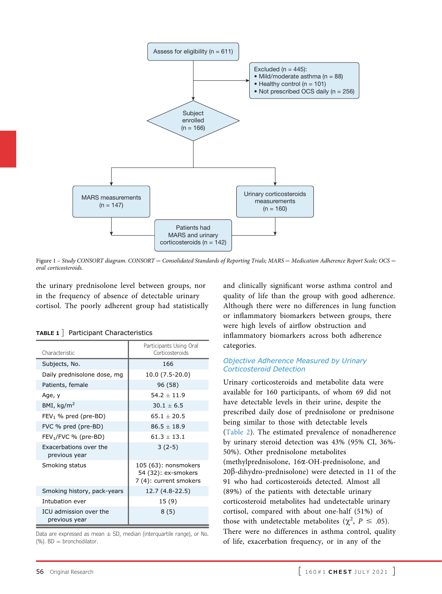<span id="page-3-0"></span>

Figure  $1$  – Study CONSORT diagram. CONSORT = Consolidated Standards of Reporting Trials; MARS = Medication Adherence Report Scale; OCS = oral corticosteroids.

the urinary prednisolone level between groups, nor in the frequency of absence of detectable urinary cortisol. The poorly adherent group had statistically

| Characteristic                          | Participants Using Oral<br>Corticosteroids                            |  |  |
|-----------------------------------------|-----------------------------------------------------------------------|--|--|
| Subjects, No.                           | 166                                                                   |  |  |
| Daily prednisolone dose, mg             | 10.0 (7.5-20.0)                                                       |  |  |
| Patients, female                        | 96 (58)                                                               |  |  |
| Age, y                                  | $54.2 + 11.9$                                                         |  |  |
| BMI, $\text{kg/m}^2$                    | $30.1 + 6.5$                                                          |  |  |
| $FEV1$ % pred (pre-BD)                  | $65.1 \pm 20.5$                                                       |  |  |
| FVC % pred (pre-BD)                     | $86.5 + 18.9$                                                         |  |  |
| $FEV1/FVC$ % (pre-BD)                   | $61.3 + 13.1$                                                         |  |  |
| Exacerbations over the<br>previous year | $3(2-5)$                                                              |  |  |
| Smoking status                          | 105 (63): nonsmokers<br>54 (32): ex-smokers<br>7 (4): current smokers |  |  |
| Smoking history, pack-years             | 12.7 (4.8-22.5)                                                       |  |  |
| Intubation ever                         | 15 (9)                                                                |  |  |
| ICU admission over the<br>previous year | 8(5)                                                                  |  |  |

<span id="page-3-1"></span>TABLE 1 | Participant Characteristics

Data are expressed as mean  $\pm$  SD, median (interquartile range), or No. (%).  $BD =$  bronchodilator.

and clinically significant worse asthma control and quality of life than the group with good adherence. Although there were no differences in lung function or inflammatory biomarkers between groups, there were high levels of airflow obstruction and inflammatory biomarkers across both adherence categories.

# Objective Adherence Measured by Urinary Corticosteroid Detection

Urinary corticosteroids and metabolite data were available for 160 participants, of whom 69 did not have detectable levels in their urine, despite the prescribed daily dose of prednisolone or prednisone being similar to those with detectable levels ([Table 2](#page-4-0)). The estimated prevalence of nonadherence by urinary steroid detection was 43% (95% CI, 36%- 50%). Other prednisolone metabolites (methylprednisolone, 16a-OH-prednisolone, and 20b-dihydro-prednisolone) were detected in 11 of the 91 who had corticosteroids detected. Almost all (89%) of the patients with detectable urinary corticosteroid metabolites had undetectable urinary cortisol, compared with about one-half (51%) of those with undetectable metabolites ( $\chi^2$ ,  $P \leq .05$ ). There were no differences in asthma control, quality of life, exacerbation frequency, or in any of the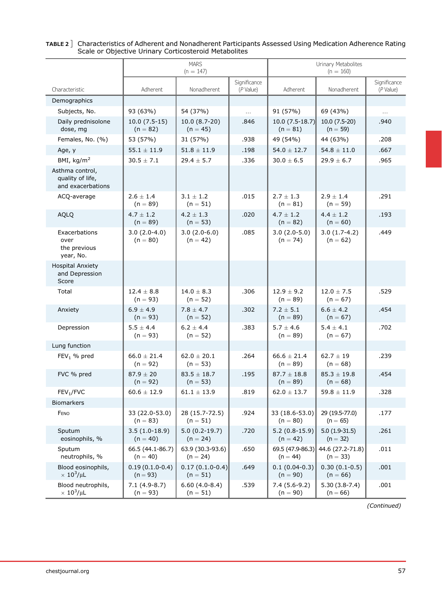|                                                          | <b>MARS</b><br>$(n = 147)$      |                                 | Urinary Metabolites<br>$(n = 160)$ |                                |                                |                             |
|----------------------------------------------------------|---------------------------------|---------------------------------|------------------------------------|--------------------------------|--------------------------------|-----------------------------|
| Characteristic                                           | Adherent                        | Nonadherent                     | Significance<br>$(P$ Value)        | Adherent                       | Nonadherent                    | Significance<br>$(P$ Value) |
| Demographics                                             |                                 |                                 |                                    |                                |                                |                             |
| Subjects, No.                                            | 93 (63%)                        | 54 (37%)                        | $\ldots$                           | 91 (57%)                       | 69 (43%)                       | $\cdots$                    |
| Daily prednisolone<br>dose, mg                           | $10.0(7.5-15)$<br>$(n = 82)$    | $10.0 (8.7 - 20)$<br>$(n = 45)$ | .846                               | $10.0(7.5-18.7)$<br>$(n = 81)$ | 10.0 (7.5-20)<br>$(n = 59)$    | .940                        |
| Females, No. (%)                                         | 53 (57%)                        | 31 (57%)                        | .938                               | 49 (54%)                       | 44 (63%)                       | .208                        |
| Age, y                                                   | $55.1 \pm 11.9$                 | $51.8 \pm 11.9$                 | .198                               | $54.0 \pm 12.7$                | $54.8 \pm 11.0$                | .667                        |
| BMI, $kg/m2$                                             | $30.5 \pm 7.1$                  | $29.4 \pm 5.7$                  | .336                               | $30.0 \pm 6.5$                 | $29.9 \pm 6.7$                 | .965                        |
| Asthma control,<br>quality of life,<br>and exacerbations |                                 |                                 |                                    |                                |                                |                             |
| ACQ-average                                              | $2.6 \pm 1.4$<br>$(n = 89)$     | $3.1 \pm 1.2$<br>$(n = 51)$     | .015                               | $2.7 \pm 1.3$<br>$(n = 81)$    | $2.9 \pm 1.4$<br>$(n = 59)$    | .291                        |
| <b>AQLQ</b>                                              | $4.7 \pm 1.2$<br>$(n = 89)$     | $4.2 \pm 1.3$<br>$(n = 53)$     | .020                               | $4.7 + 1.2$<br>$(n = 82)$      | $4.4 \pm 1.2$<br>$(n = 60)$    | .193                        |
| Exacerbations<br>over<br>the previous<br>year, No.       | $3.0(2.0-4.0)$<br>$(n = 80)$    | $3.0(2.0-6.0)$<br>$(n = 42)$    | .085                               | $3.0(2.0-5.0)$<br>$(n = 74)$   | $3.0(1.7-4.2)$<br>$(n = 62)$   | .449                        |
| <b>Hospital Anxiety</b><br>and Depression<br>Score       |                                 |                                 |                                    |                                |                                |                             |
| Total                                                    | $12.4 \pm 8.8$<br>$(n = 93)$    | $14.0 \pm 8.3$<br>$(n = 52)$    | .306                               | $12.9 \pm 9.2$<br>$(n = 89)$   | $12.0 \pm 7.5$<br>$(n = 67)$   | .529                        |
| Anxiety                                                  | $6.9 \pm 4.9$<br>$(n = 93)$     | $7.8 \pm 4.7$<br>$(n = 52)$     | .302                               | $7.2 \pm 5.1$<br>$(n = 89)$    | $6.6 \pm 4.2$<br>$(n = 67)$    | .454                        |
| Depression                                               | $5.5 \pm 4.4$<br>$(n = 93)$     | $6.2 \pm 4.4$<br>$(n = 52)$     | .383                               | $5.7 \pm 4.6$<br>$(n = 89)$    | $5.4 \pm 4.1$<br>$(n = 67)$    | .702                        |
| Lung function                                            |                                 |                                 |                                    |                                |                                |                             |
| $FEV1$ % pred                                            | $66.0 \pm 21.4$<br>$(n = 92)$   | $62.0 \pm 20.1$<br>$(n = 53)$   | .264                               | $66.6 \pm 21.4$<br>$(n = 89)$  | $62.7 \pm 19$<br>$(n = 68)$    | .239                        |
| FVC % pred                                               | $87.9 \pm 20$<br>$(n = 92)$     | $83.5 \pm 18.7$<br>$(n = 53)$   | .195                               | $87.7 \pm 18.8$<br>$(n = 89)$  | $85.3 \pm 19.8$<br>$(n = 68)$  | .454                        |
| FEV <sub>1</sub> /FVC                                    | $60.6 \pm 12.9$                 | $61.1 \pm 13.9$                 | .819                               | $62.0 \pm 13.7$                | $59.8 \pm 11.9$                | .328                        |
| Biomarkers                                               |                                 |                                 |                                    |                                |                                |                             |
| FENO                                                     | 33 (22.0-53.0)<br>$(n = 83)$    | 28 (15.7-72.5)<br>$(n = 51)$    | .924                               | 33 (18.6-53.0)<br>$(n = 80)$   | 29 (19.5-77.0)<br>$(n = 65)$   | .177                        |
| Sputum<br>eosinophils, %                                 | $3.5(1.0-18.9)$<br>$(n = 40)$   | $5.0(0.2-19.7)$<br>$(n = 24)$   | .720                               | $5.2(0.8-15.9)$<br>$(n = 42)$  | $5.0(1.9-31.5)$<br>$(n = 32)$  | .261                        |
| Sputum<br>neutrophils, %                                 | 66.5 (44.1-86.7)<br>$(n = 40)$  | 63.9 (30.3-93.6)<br>$(n = 24)$  | .650                               | 69.5 (47.9-86.3)<br>$(n = 44)$ | 44.6 (27.2-71.8)<br>$(n = 33)$ | .011                        |
| Blood eosinophils,<br>$\times 10^3/\mu L$                | $0.19(0.1.0-0.4)$<br>$(n = 93)$ | $0.17(0.1.0-0.4)$<br>$(n = 51)$ | .649                               | $0.1(0.04-0.3)$<br>$(n = 90)$  | $0.30(0.1-0.5)$<br>$(n = 66)$  | .001                        |
| Blood neutrophils,<br>$\times 10^3/\mu L$                | $7.1(4.9-8.7)$<br>$(n = 93)$    | $6.60(4.0-8.4)$<br>$(n = 51)$   | .539                               | $7.4(5.6-9.2)$<br>$(n = 90)$   | $5.30(3.8-7.4)$<br>$(n = 66)$  | .001                        |

# <span id="page-4-0"></span>TABLE 2 ] Characteristics of Adherent and Nonadherent Participants Assessed Using Medication Adherence Rating Scale or Objective Urinary Corticosteroid Metabolites

(Continued)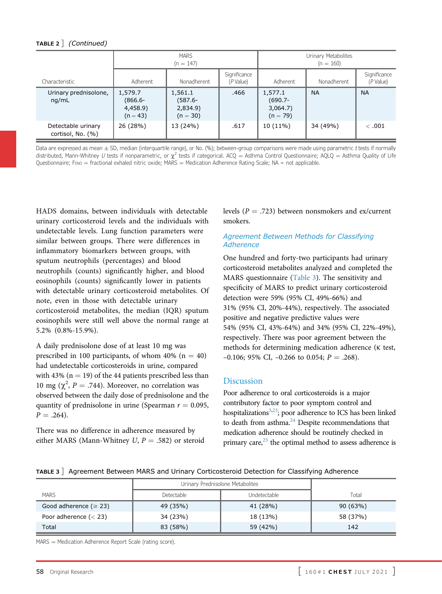|                                         | <b>MARS</b><br>$(n = 147)$                     |                                                | Urinary Metabolites<br>$(n = 160)$ |                                                 |             |                           |
|-----------------------------------------|------------------------------------------------|------------------------------------------------|------------------------------------|-------------------------------------------------|-------------|---------------------------|
| Characteristic                          | Adherent                                       | Nonadherent                                    | Significance<br>(P Value)          | Adherent                                        | Nonadherent | Significance<br>(P Value) |
| Urinary prednisolone,<br>nq/mL          | 1,579.7<br>$(866.6 -$<br>4,458.9<br>$(n = 43)$ | 1,561.1<br>$(587.6 -$<br>2,834.9<br>$(n = 30)$ | .466                               | 1,577.1<br>$(690.7 -$<br>3,064.7)<br>$(n = 79)$ | <b>NA</b>   | <b>NA</b>                 |
| Detectable urinary<br>cortisol, No. (%) | 26 (28%)                                       | 13 (24%)                                       | .617                               | 10 (11%)                                        | 34 (49%)    | <.001                     |

Data are expressed as mean ± SD, median (interquartile range), or No. (%); between-group comparisons were made using parametric t tests if normally distributed, Mann-Whitney U tests if nonparametric, or  $\chi^2$  tests if categorical. ACQ = Asthma Control Questionnaire; AQLQ = Asthma Quality of Life Questionnaire; FENO = fractional exhaled nitric oxide; MARS = Medication Adherence Rating Scale; NA = not applicable.

HADS domains, between individuals with detectable urinary corticosteroid levels and the individuals with undetectable levels. Lung function parameters were similar between groups. There were differences in inflammatory biomarkers between groups, with sputum neutrophils (percentages) and blood neutrophils (counts) significantly higher, and blood eosinophils (counts) significantly lower in patients with detectable urinary corticosteroid metabolites. Of note, even in those with detectable urinary corticosteroid metabolites, the median (IQR) sputum eosinophils were still well above the normal range at 5.2% (0.8%-15.9%).

A daily prednisolone dose of at least 10 mg was prescribed in 100 participants, of whom 40% ( $n = 40$ ) had undetectable corticosteroids in urine, compared with 43% ( $n = 19$ ) of the 44 patients prescribed less than 10 mg ( $\chi^2$ , *P* = .744). Moreover, no correlation was observed between the daily dose of prednisolone and the quantity of prednisolone in urine (Spearman  $r = 0.095$ ,  $P = .264$ ).

There was no difference in adherence measured by either MARS (Mann-Whitney  $U, P = .582$ ) or steroid levels ( $P = .723$ ) between nonsmokers and ex/current smokers.

## Agreement Between Methods for Classifying Adherence

One hundred and forty-two participants had urinary corticosteroid metabolites analyzed and completed the MARS questionnaire ([Table 3](#page-5-0)). The sensitivity and specificity of MARS to predict urinary corticosteroid detection were 59% (95% CI, 49%-66%) and 31% (95% CI, 20%-44%), respectively. The associated positive and negative predictive values were 54% (95% CI, 43%-64%) and 34% (95% CI, 22%-49%), respectively. There was poor agreement between the methods for determining medication adherence (k test,  $-0.106$ ; 95% CI,  $-0.266$  to 0.054;  $P = .268$ ).

# Discussion

Poor adherence to oral corticosteroids is a major contributory factor to poor symptom control and hospitalizations<sup>5[,23](#page-10-20)</sup>; poor adherence to ICS has been linked to death from asthma. $^{24}$  Despite recommendations that medication adherence should be routinely checked in primary care, $^{25}$  the optimal method to assess adherence is

<span id="page-5-0"></span>

| TABLE 3   Agreement Between MARS and Urinary Corticosteroid Detection for Classifying Adherence |  |  |  |
|-------------------------------------------------------------------------------------------------|--|--|--|
|                                                                                                 |  |  |  |

|                             | Urinary Prednisolone Metabolites |              |          |
|-----------------------------|----------------------------------|--------------|----------|
| <b>MARS</b>                 | Detectable                       | Undetectable | Total    |
| Good adherence ( $\geq$ 23) | 49 (35%)                         | 41 (28%)     | 90(63%)  |
| Poor adherence $(< 23)$     | 34 (23%)                         | 18 (13%)     | 58 (37%) |
| Total                       | 83 (58%)                         | 59 (42%)     | 142      |

MARS = Medication Adherence Report Scale (rating score).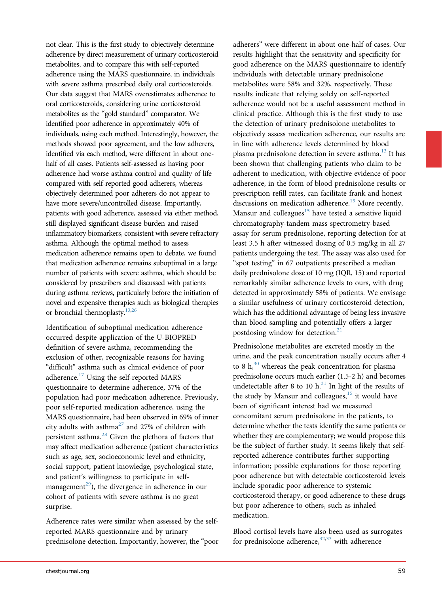not clear. This is the first study to objectively determine adherence by direct measurement of urinary corticosteroid metabolites, and to compare this with self-reported adherence using the MARS questionnaire, in individuals with severe asthma prescribed daily oral corticosteroids. Our data suggest that MARS overestimates adherence to oral corticosteroids, considering urine corticosteroid metabolites as the "gold standard" comparator. We identified poor adherence in approximately 40% of individuals, using each method. Interestingly, however, the methods showed poor agreement, and the low adherers, identified via each method, were different in about onehalf of all cases. Patients self-assessed as having poor adherence had worse asthma control and quality of life compared with self-reported good adherers, whereas objectively determined poor adherers do not appear to have more severe/uncontrolled disease. Importantly, patients with good adherence, assessed via either method, still displayed significant disease burden and raised inflammatory biomarkers, consistent with severe refractory asthma. Although the optimal method to assess medication adherence remains open to debate, we found that medication adherence remains suboptimal in a large number of patients with severe asthma, which should be considered by prescribers and discussed with patients during asthma reviews, particularly before the initiation of novel and expensive therapies such as biological therapies or bronchial thermoplasty.<sup>13[,26](#page-11-1)</sup>

Identification of suboptimal medication adherence occurred despite application of the U-BIOPRED definition of severe asthma, recommending the exclusion of other, recognizable reasons for having "difficult" asthma such as clinical evidence of poor adherence.<sup>[17](#page-10-14)</sup> Using the self-reported MARS questionnaire to determine adherence, 37% of the population had poor medication adherence. Previously, poor self-reported medication adherence, using the MARS questionnaire, had been observed in 69% of inner city adults with asthma<sup>[27](#page-11-2)</sup> and 27% of children with persistent asthma.[28](#page-11-3) Given the plethora of factors that may affect medication adherence (patient characteristics such as age, sex, socioeconomic level and ethnicity, social support, patient knowledge, psychological state, and patient's willingness to participate in selfmanagement<sup>29</sup>), the divergence in adherence in our cohort of patients with severe asthma is no great surprise.

Adherence rates were similar when assessed by the selfreported MARS questionnaire and by urinary prednisolone detection. Importantly, however, the "poor adherers" were different in about one-half of cases. Our results highlight that the sensitivity and specificity for good adherence on the MARS questionnaire to identify individuals with detectable urinary prednisolone metabolites were 58% and 32%, respectively. These results indicate that relying solely on self-reported adherence would not be a useful assessment method in clinical practice. Although this is the first study to use the detection of urinary prednisolone metabolites to objectively assess medication adherence, our results are in line with adherence levels determined by blood plasma prednisolone detection in severe asthma.<sup>[13](#page-10-10)</sup> It has been shown that challenging patients who claim to be adherent to medication, with objective evidence of poor adherence, in the form of blood prednisolone results or prescription refill rates, can facilitate frank and honest discussions on medication adherence.<sup>13</sup> More recently, Mansur and colleagues $15$  have tested a sensitive liquid chromatography-tandem mass spectrometry-based assay for serum prednisolone, reporting detection for at least 3.5 h after witnessed dosing of 0.5 mg/kg in all 27 patients undergoing the test. The assay was also used for "spot testing" in 67 outpatients prescribed a median daily prednisolone dose of 10 mg (IQR, 15) and reported remarkably similar adherence levels to ours, with drug detected in approximately 58% of patients. We envisage a similar usefulness of urinary corticosteroid detection, which has the additional advantage of being less invasive than blood sampling and potentially offers a larger postdosing window for detection.<sup>[21](#page-10-18)</sup>

Prednisolone metabolites are excreted mostly in the urine, and the peak concentration usually occurs after 4 to 8  $h<sub>2</sub><sup>30</sup>$  $h<sub>2</sub><sup>30</sup>$  $h<sub>2</sub><sup>30</sup>$  whereas the peak concentration for plasma prednisolone occurs much earlier (1.5-2 h) and becomes undetectable after 8 to 10  $h^{31}$  $h^{31}$  $h^{31}$  In light of the results of the study by Mansur and colleagues, $15$  it would have been of significant interest had we measured concomitant serum prednisolone in the patients, to determine whether the tests identify the same patients or whether they are complementary; we would propose this be the subject of further study. It seems likely that selfreported adherence contributes further supporting information; possible explanations for those reporting poor adherence but with detectable corticosteroid levels include sporadic poor adherence to systemic corticosteroid therapy, or good adherence to these drugs but poor adherence to others, such as inhaled medication.

Blood cortisol levels have also been used as surrogates for prednisolone adherence,  $32,33$  $32,33$  with adherence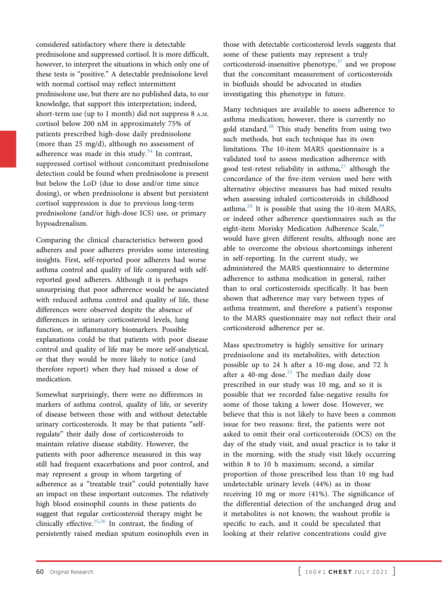considered satisfactory where there is detectable prednisolone and suppressed cortisol. It is more difficult, however, to interpret the situations in which only one of these tests is "positive." A detectable prednisolone level with normal cortisol may reflect intermittent prednisolone use, but there are no published data, to our knowledge, that support this interpretation; indeed, short-term use (up to 1 month) did not suppress 8 A.M. cortisol below 200 nM in approximately 75% of patients prescribed high-dose daily prednisolone (more than 25 mg/d), although no assessment of adherence was made in this study. $34$  In contrast, suppressed cortisol without concomitant prednisolone detection could be found when prednisolone is present but below the LoD (due to dose and/or time since dosing), or when prednisolone is absent but persistent cortisol suppression is due to previous long-term prednisolone (and/or high-dose ICS) use, or primary hypoadrenalism.

Comparing the clinical characteristics between good adherers and poor adherers provides some interesting insights. First, self-reported poor adherers had worse asthma control and quality of life compared with selfreported good adherers. Although it is perhaps unsurprising that poor adherence would be associated with reduced asthma control and quality of life, these differences were observed despite the absence of differences in urinary corticosteroid levels, lung function, or inflammatory biomarkers. Possible explanations could be that patients with poor disease control and quality of life may be more self-analytical, or that they would be more likely to notice (and therefore report) when they had missed a dose of medication.

Somewhat surprisingly, there were no differences in markers of asthma control, quality of life, or severity of disease between those with and without detectable urinary corticosteroids. It may be that patients "selfregulate" their daily dose of corticosteroids to maintain relative disease stability. However, the patients with poor adherence measured in this way still had frequent exacerbations and poor control, and may represent a group in whom targeting of adherence as a "treatable trait" could potentially have an impact on these important outcomes. The relatively high blood eosinophil counts in these patients do suggest that regular corticosteroid therapy might be clinically effective.<sup>[35](#page-11-10)[,36](#page-11-11)</sup> In contrast, the finding of persistently raised median sputum eosinophils even in those with detectable corticosteroid levels suggests that some of these patients may represent a truly corticosteroid-insensitive phenotype, $37$  and we propose that the concomitant measurement of corticosteroids in biofluids should be advocated in studies investigating this phenotype in future.

Many techniques are available to assess adherence to asthma medication; however, there is currently no gold standard. $38$  This study benefits from using two such methods, but each technique has its own limitations. The 10-item MARS questionnaire is a validated tool to assess medication adherence with good test-retest reliability in asthma, $27$  although the concordance of the five-item version used here with alternative objective measures has had mixed results when assessing inhaled corticosteroids in childhood asthma. $^{28}$  $^{28}$  $^{28}$  It is possible that using the 10-item MARS, or indeed other adherence questionnaires such as the eight-item Morisky Medication Adherence Scale,<sup>[39](#page-11-14)</sup> would have given different results, although none are able to overcome the obvious shortcomings inherent in self-reporting. In the current study, we administered the MARS questionnaire to determine adherence to asthma medication in general, rather than to oral corticosteroids specifically. It has been shown that adherence may vary between types of asthma treatment, and therefore a patient's response to the MARS questionnaire may not reflect their oral corticosteroid adherence per se.

Mass spectrometry is highly sensitive for urinary prednisolone and its metabolites, with detection possible up to 24 h after a 10-mg dose, and 72 h after a 40-mg dose. $21$  The median daily dose prescribed in our study was 10 mg, and so it is possible that we recorded false-negative results for some of those taking a lower dose. However, we believe that this is not likely to have been a common issue for two reasons: first, the patients were not asked to omit their oral corticosteroids (OCS) on the day of the study visit, and usual practice is to take it in the morning, with the study visit likely occurring within 8 to 10 h maximum; second, a similar proportion of those prescribed less than 10 mg had undetectable urinary levels (44%) as in those receiving 10 mg or more (41%). The significance of the differential detection of the unchanged drug and it metabolites is not known; the washout profile is specific to each, and it could be speculated that looking at their relative concentrations could give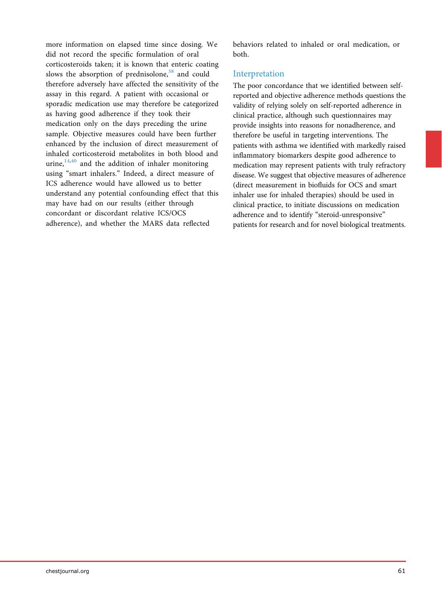more information on elapsed time since dosing. We did not record the specific formulation of oral corticosteroids taken; it is known that enteric coating slows the absorption of prednisolone,<sup>[38](#page-11-13)</sup> and could therefore adversely have affected the sensitivity of the assay in this regard. A patient with occasional or sporadic medication use may therefore be categorized as having good adherence if they took their medication only on the days preceding the urine sample. Objective measures could have been further enhanced by the inclusion of direct measurement of inhaled corticosteroid metabolites in both blood and urine, $14,40$  $14,40$  and the addition of inhaler monitoring using "smart inhalers." Indeed, a direct measure of ICS adherence would have allowed us to better understand any potential confounding effect that this may have had on our results (either through concordant or discordant relative ICS/OCS adherence), and whether the MARS data reflected

behaviors related to inhaled or oral medication, or both.

# Interpretation

The poor concordance that we identified between selfreported and objective adherence methods questions the validity of relying solely on self-reported adherence in clinical practice, although such questionnaires may provide insights into reasons for nonadherence, and therefore be useful in targeting interventions. The patients with asthma we identified with markedly raised inflammatory biomarkers despite good adherence to medication may represent patients with truly refractory disease. We suggest that objective measures of adherence (direct measurement in biofluids for OCS and smart inhaler use for inhaled therapies) should be used in clinical practice, to initiate discussions on medication adherence and to identify "steroid-unresponsive" patients for research and for novel biological treatments.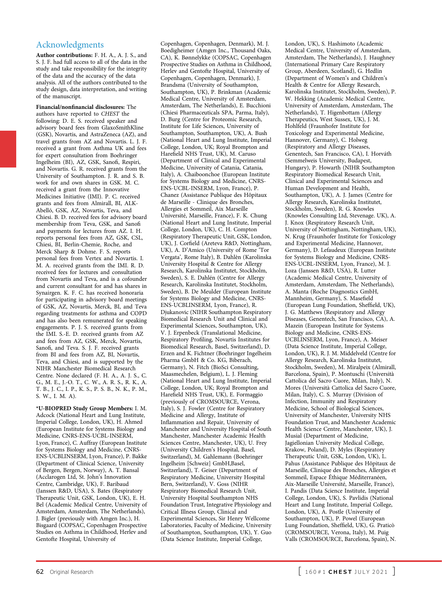# Acknowledgments

Author contributions: F. H. A., A. J. S., and S. J. F. had full access to all of the data in the study and take responsibility for the integrity of the data and the accuracy of the data analysis. All of the authors contributed to the study design, data interpretation, and writing of the manuscript.

Financial/nonfinancial disclosures: The authors have reported to CHEST the following: D. E. S. received speaker and advisory board fees from GlaxoSmithKline (GSK), Novartis, and AstraZeneca (AZ), and travel grants from AZ and Novartis. L. J. F. received a grant from Asthma UK and fees for expert consultation from Boehringer Ingelheim (BI), AZ, GSK, Sanofi, Respiri, and Novartis. G. R. received grants from the University of Southampton. J. R. and S. B. work for and own shares in GSK. M. C. received a grant from the Innovative Medicines Initiative (IMI). P. C. received grants and fees from Almirall, BI, ALK-Abelló, GSK, AZ, Novartis, Teva, and Chiesi. B. D. received fees for advisory board membership from Teva, GSK, and Sanofi and payments for lectures from AZ. I. H. reports personal fees from AZ, GSK, CSL, Chiesi, BI, Berlin-Chemie, Roche, and Merck Sharp & Dohme. F. S. reports personal fees from Vertex and Novartis. I. M. A. received grants from the IMI. R. D. received fees for lectures and consultation from Novartis and Teva, and is a cofounder and current consultant for and has shares in Synairgen. K. F. C. has received honoraria for participating in advisory board meetings of GSK, AZ, Novartis, Merck, BI, and Teva regarding treatments for asthma and COPD and has also been remunerated for speaking engagements. P. J. S. received grants from the IMI. S.-E. D. received grants from AZ and fees from AZ, GSK, Merck, Novartis, Sanofi, and Teva. S. J. F. received grants from BI and fees from AZ, BI, Novartis, Teva, and Chiesi, and is supported by the NIHR Manchester Biomedical Research Centre. None declared (F. H. A., A. J. S., C. G., M. E., J.-O. T., C. W., A. R. S., R. K., A. T. B., J. C., I. P., K. S., P. S. B., N. K., P. M., S. W., I. M. A).

\*U-BIOPRED Study Group Members: I. M. Adcock (National Heart and Lung Institute, Imperial College, London, UK), H. Ahmed (European Institute for Systems Biology and Medicine, CNRS-ENS-UCBL-INSERM, Lyon, France), C. Auffray (European Institute for Systems Biology and Medicine, CNRS-ENS-UCBLINSERM, Lyon, France), P. Bakke (Department of Clinical Science, University of Bergen, Bergen, Norway), A. T. Bansal (Acclarogen Ltd, St. John's Innovation Centre, Cambridge, UK), F. Baribaud (Janssen R&D, USA), S. Bates (Respiratory Therapeutic Unit, GSK, London, UK), E. H. Bel (Academic Medical Centre, University of Amsterdam, Amsterdam, The Netherlands), J. Bigler (previously with Amgen Inc.), H. Bisgaard (COPSAC, Copenhagen Prospective Studies on Asthma in Childhood, Herlev and Gentofte Hospital, University of

Copenhagen, Copenhagen, Denmark), M. J. Boedigheimer (Amgen Inc., Thousand Oaks, CA), K. Bønnelykke (COPSAC, Copenhagen Prospective Studies on Asthma in Childhood, Herlev and Gentofte Hospital, University of Copenhagen, Copenhagen, Denmark), J. Brandsma (University of Southampton, Southampton, UK), P. Brinkman (Academic Medical Centre, University of Amsterdam, Amsterdam, The Netherlands), E. Bucchioni (Chiesi Pharmaceuticals SPA, Parma, Italy), D. Burg (Centre for Proteomic Research, Institute for Life Sciences, University of Southampton, Southampton, UK), A. Bush (National Heart and Lung Institute, Imperial College, London, UK; Royal Brompton and Harefield NHS Trust, UK), M. Caruso (Department of Clinical and Experimental Medicine, University of Catania, Catania, Italy), A. Chaiboonchoe (European Institute for Systems Biology and Medicine, CNRS-ENS-UCBL-INSERM, Lyon, France), P. Chanez (Assistance Publique des Hôpitaux de Marseille - Clinique des Bronches, Allergies et Sommeil, Aix Marseille Université, Marseille, France), F. K. Chung (National Heart and Lung Institute, Imperial College, London, UK), C. H. Compton (Respiratory Therapeutic Unit, GSK, London, UK), J. Corfield (Areteva R&D, Nottingham, UK), A. D'Amico (University of Rome 'Tor Vergata', Rome Italy), B. Dahlèn (Karolinska University Hospital & Centre for Allergy Research, Karolinska Institutet, Stockholm, Sweden), S. E. Dahlén (Centre for Allergy Research, Karolinska Institutet, Stockholm, Sweden), B. De Meulder (European Institute for Systems Biology and Medicine, CNRS-ENS-UCBLINSERM, Lyon, France), R. Djukanovic (NIHR Southampton Respiratory Biomedical Research Unit and Clinical and Experimental Sciences, Southampton, UK), V. J. Erpenbeck (Translational Medicine, Respiratory Profiling, Novartis Institutes for Biomedical Research, Basel, Switzerland), D. Erzen and K. Fichtner (Boehringer Ingelheim Pharma GmbH & Co. KG, Biberach, Germany), N. Fitch (BioSci Consulting, Maasmechelen, Belgium), L. J. Fleming (National Heart and Lung Institute, Imperial College, London, UK; Royal Brompton and Harefield NHS Trust, UK), E. Formaggio (previously of CROMSOURCE, Verona, Italy), S. J. Fowler (Centre for Respiratory Medicine and Allergy, Institute of Inflammation and Repair, University of Manchester and University Hospital of South Manchester, Manchester Academic Health Sciences Centre, Manchester, UK), U. Frey (University Children's Hospital, Basel, Switzerland), M. Gahlemann (Boehringer Ingelheim [Schweiz] GmbH,Basel, Switzerland), T. Geiser (Department of Respiratory Medicine, University Hospital Bern, Switzerland), V. Goss (NIHR Respiratory Biomedical Research Unit, University Hospital Southampton NHS Foundation Trust, Integrative Physiology and Critical Illness Group, Clinical and Experimental Sciences, Sir Henry Wellcome Laboratories, Faculty of Medicine, University of Southampton, Southampton, UK), Y. Guo (Data Science Institute, Imperial College,

London, UK), S. Hashimoto (Academic Medical Centre, University of Amsterdam, Amsterdam, The Netherlands), J. Haughney (International Primary Care Respiratory Group, Aberdeen, Scotland), G. Hedlin (Department of Women's and Children's Health & Centre for Allergy Research, Karolinska Institutet, Stockholm, Sweden), P. W. Hekking (Academic Medical Centre, University of Amsterdam, Amsterdam, The Netherlands), T. Higenbottam (Allergy Therapeutics, West Sussex, UK), J. M. Hohlfeld (Fraunhofer Institute for Toxicology and Experimental Medicine, Hannover, Germany), C. Holweg (Respiratory and Allergy Diseases, Genentech, San Francisco, CA), I. Horváth (Semmelweis University, Budapest, Hungary), P. Howarth (NIHR Southampton Respiratory Biomedical Research Unit, Clinical and Experimental Sciences and Human Development and Health, Southampton, UK), A. J. James (Centre for Allergy Research, Karolinska Institutet, Stockholm, Sweden), R. G. Knowles (Knowles Consulting Ltd, Stevenage. UK), A. J. Knox (Respiratory Research Unit, University of Nottingham, Nottingham, UK), N. Krug (Fraunhofer Institute for Toxicology and Experimental Medicine, Hannover, Germany), D. Lefaudeux (European Institute for Systems Biology and Medicine, CNRS-ENS-UCBL-INSERM, Lyon, France), M. J. Loza (Janssen R&D, USA), R. Lutter (Academic Medical Centre, University of Amsterdam, Amsterdam, The Netherlands), A. Manta (Roche Diagnostics GmbH, Mannheim, Germany), S. Masefield (European Lung Foundation, Sheffield, UK), J. G. Matthews (Respiratory and Allergy Diseases, Genentech, San Francisco, CA), A. Mazein (European Institute for Systems Biology and Medicine, CNRS-ENS-UCBLINSERM, Lyon, France), A. Meiser (Data Science Institute, Imperial College, London, UK), R. J. M. Middelveld (Centre for Allergy Research, Karolinska Institutet, Stockholm, Sweden), M. Miralpeix (Almirall, Barcelona, Spain), P. Montuschi (Università Cattolica del Sacro Cuore, Milan, Italy), N. Mores (Università Cattolica del Sacro Cuore, Milan, Italy), C. S. Murray (Division of Infection, Immunity and Respiratory Medicine, School of Biological Sciences, University of Manchester, University NHS Foundation Trust, and Manchester Academic Health Science Centre, Manchester, UK), J. Musial (Department of Medicine, Jagiellonian University Medical College, Krakow, Poland), D. Myles (Respiratory Therapeutic Unit, GSK, London, UK), L. Pahus (Assistance Publique des Hôpitaux de Marseille, Clinique des Bronches, Allergies et Sommeil, Espace Éthique Méditerranéen, Aix-Marseille Université, Marseille, France), I. Pandis (Data Science Institute, Imperial College, London, UK), S. Pavlidis (National Heart and Lung Institute, Imperial College, London, UK), A. Postle (University of Southampton, UK), P. Powel (European Lung Foundation, Sheffield, UK), G. Praticò (CROMSOURCE, Verona, Italy), M. Puig Valls (CROMSOURCE, Barcelona, Spain), N.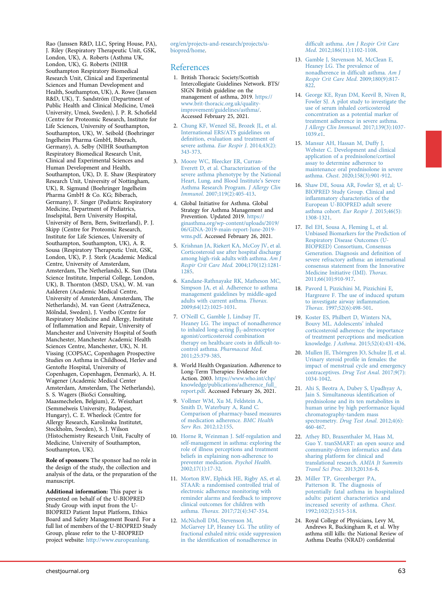Rao (Janssen R&D, LLC, Spring House, PA), J. Riley (Respiratory Therapeutic Unit, GSK, London, UK), A. Roberts (Asthma UK, London, UK), G. Roberts (NIHR Southampton Respiratory Biomedical Research Unit, Clinical and Experimental Sciences and Human Development and Health, Southampton, UK), A. Rowe (Janssen R&D, UK), T. Sandström (Department of Public Health and Clinical Medicine, Umeå University, Umeå, Sweden), J. P. R. Schofield (Centre for Proteomic Research, Institute for Life Sciences, University of Southampton, Southampton, UK), W. Seibold (Boehringer Ingelheim Pharma GmbH, Biberach, Germany), A. Selby (NIHR Southampton Respiratory Biomedical Research Unit, Clinical and Experimental Sciences and Human Development and Health, Southampton, UK), D. E. Shaw (Respiratory Research Unit, University of Nottingham, UK), R. Sigmund (Boehringer Ingelheim Pharma GmbH & Co. KG; Biberach, Germany), F. Singer (Pediatric Respiratory Medicine, Department of Pediatrics, Inselspital, Bern University Hospital, University of Bern, Bern, Switzerland), P. J. Skipp (Centre for Proteomic Research, Institute for Life Sciences, University of Southampton, Southampton, UK), A. R. Sousa (Respiratory Therapeutic Unit, GSK, London, UK), P. J. Sterk (Academic Medical Centre, University of Amsterdam, Amsterdam, The Netherlands), K. Sun (Data Science Institute, Imperial College, London, UK), B. Thornton (MSD, USA), W. M. van Aalderen (Academic Medical Centre, University of Amsterdam, Amsterdam, The Netherlands), M. van Geest (AstraZeneca, Mölndal, Sweden), J. Vestbo (Centre for Respiratory Medicine and Allergy, Institute of Inflammation and Repair, University of Manchester and University Hospital of South Manchester, Manchester Academic Health Sciences Centre, Manchester, UK), N. H. Vissing (COPSAC, Copenhagen Prospective Studies on Asthma in Childhood, Herlev and Gentofte Hospital, University of Copenhagen, Copenhagen, Denmark), A. H. Wagener (Academic Medical Center Amsterdam, Amsterdam, The Netherlands), S. S. Wagers (BioSci Consulting, Maasmechelen, Belgium), Z. Weiszhart (Semmelweis University, Budapest, Hungary), C. E. Wheelock (Centre for Allergy Research, Karolinska Institutet, Stockholm, Sweden), S. J. Wilson (Histochemistry Research Unit, Faculty of Medicine, University of Southampton, Southampton, UK).

Role of sponsors: The sponsor had no role in the design of the study, the collection and analysis of the data, or the preparation of the manuscript.

Additional information: This paper is presented on behalf of the U-BIOPRED Study Group with input from the U-BIOPRED Patient Input Platform, Ethics Board and Safety Management Board. For a full list of members of the U-BIOPRED Study Group, please refer to the U-BIOPRED project website: [http://www.europeanlung.](http://www.europeanlung.org/en/projects-and-research/projects/u-biopred/home)

[org/en/projects-and-research/projects/u](http://www.europeanlung.org/en/projects-and-research/projects/u-biopred/home)[biopred/home](http://www.europeanlung.org/en/projects-and-research/projects/u-biopred/home).

## References

- <span id="page-10-0"></span>1. British Thoracic Society/Scottish Intercollegiate Guidelines Network. BTS/ SIGN British guideline on the management of asthma, 2019. [https://](https://www.brit-thoracic.org.uk/quality-improvement/guidelines/asthma/) [www.brit-thoracic.org.uk/quality](https://www.brit-thoracic.org.uk/quality-improvement/guidelines/asthma/)[improvement/guidelines/asthma/.](https://www.brit-thoracic.org.uk/quality-improvement/guidelines/asthma/) Accessed February 25, 2021.
- <span id="page-10-1"></span>2. [Chung KF, Wenzel SE, Brozek JL, et al.](http://refhub.elsevier.com/S0012-3692(21)00288-9/sref2) [International ERS/ATS guidelines on](http://refhub.elsevier.com/S0012-3692(21)00288-9/sref2) defi[nition, evaluation and treatment of](http://refhub.elsevier.com/S0012-3692(21)00288-9/sref2) [severe asthma.](http://refhub.elsevier.com/S0012-3692(21)00288-9/sref2) Eur Respir J. 2014;43(2): [343-373.](http://refhub.elsevier.com/S0012-3692(21)00288-9/sref2)
- <span id="page-10-2"></span>3. [Moore WC, Bleecker ER, Curran-](http://refhub.elsevier.com/S0012-3692(21)00288-9/sref3)[Everett D, et al. Characterization of the](http://refhub.elsevier.com/S0012-3692(21)00288-9/sref3) [severe asthma phenotype by the National](http://refhub.elsevier.com/S0012-3692(21)00288-9/sref3) [Heart, Lung, and Blood Institute](http://refhub.elsevier.com/S0012-3692(21)00288-9/sref3)'s Severe [Asthma Research Program.](http://refhub.elsevier.com/S0012-3692(21)00288-9/sref3) J Allergy Clin Immunol[. 2007;119\(2\):405-413.](http://refhub.elsevier.com/S0012-3692(21)00288-9/sref3)
- <span id="page-10-3"></span>4. Global Initiative for Asthma. Global Strategy for Asthma Management and Prevention. Updated 2019. [https://](https://ginasthma.org/wp-content/uploads/2019/06/GINA-2019-main-report-June-2019-wms.pdf) [ginasthma.org/wp-content/uploads/2019/](https://ginasthma.org/wp-content/uploads/2019/06/GINA-2019-main-report-June-2019-wms.pdf) [06/GINA-2019-main-report-June-2019](https://ginasthma.org/wp-content/uploads/2019/06/GINA-2019-main-report-June-2019-wms.pdf) [wms.pdf](https://ginasthma.org/wp-content/uploads/2019/06/GINA-2019-main-report-June-2019-wms.pdf). Accessed February 26, 2021.
- <span id="page-10-4"></span>5. [Krishnan JA, Riekert KA, McCoy JV, et al.](http://refhub.elsevier.com/S0012-3692(21)00288-9/sref5) [Corticosteroid use after hospital discharge](http://refhub.elsevier.com/S0012-3692(21)00288-9/sref5) [among high-risk adults with asthma.](http://refhub.elsevier.com/S0012-3692(21)00288-9/sref5) Am J [Respir Crit Care Med](http://refhub.elsevier.com/S0012-3692(21)00288-9/sref5). 2004;170(12):1281- [1285.](http://refhub.elsevier.com/S0012-3692(21)00288-9/sref5)
- 6. [Kandane-Rathnayake RK, Matheson MC,](http://refhub.elsevier.com/S0012-3692(21)00288-9/sref6) [Simpson JA, et al. Adherence to asthma](http://refhub.elsevier.com/S0012-3692(21)00288-9/sref6) [management guidelines by middle-aged](http://refhub.elsevier.com/S0012-3692(21)00288-9/sref6) [adults with current asthma.](http://refhub.elsevier.com/S0012-3692(21)00288-9/sref6) Thorax. [2009;64\(12\):1025-1031.](http://refhub.elsevier.com/S0012-3692(21)00288-9/sref6)
- 7. O'[Neill C, Gamble J, Lindsay JT,](http://refhub.elsevier.com/S0012-3692(21)00288-9/sref7) [Heaney LG. The impact of nonadherence](http://refhub.elsevier.com/S0012-3692(21)00288-9/sref7) [to inhaled long-acting](http://refhub.elsevier.com/S0012-3692(21)00288-9/sref7)  $\beta_2$ [-adrenoceptor](http://refhub.elsevier.com/S0012-3692(21)00288-9/sref7) [agonist/corticosteroid combination](http://refhub.elsevier.com/S0012-3692(21)00288-9/sref7) [therapy on healthcare costs in dif](http://refhub.elsevier.com/S0012-3692(21)00288-9/sref7)ficult-tocontrol asthma. [Pharmaceut Med](http://refhub.elsevier.com/S0012-3692(21)00288-9/sref7). [2011;25:379-385.](http://refhub.elsevier.com/S0012-3692(21)00288-9/sref7)
- <span id="page-10-5"></span>8. World Health Organization. Adherence to Long-Term Therapies: Evidence for Action. 2003. [https://www.who.int/chp/](https://www.who.int/chp/knowledge/publications/adherence_full_report.pdf) [knowledge/publications/adherence\\_full\\_](https://www.who.int/chp/knowledge/publications/adherence_full_report.pdf) [report.pdf](https://www.who.int/chp/knowledge/publications/adherence_full_report.pdf). Accessed February 26, 2021.
- <span id="page-10-6"></span>9. [Vollmer WM, Xu M, Feldstein A,](http://refhub.elsevier.com/S0012-3692(21)00288-9/sref9) [Smith D, Waterbury A, Rand C.](http://refhub.elsevier.com/S0012-3692(21)00288-9/sref9) [Comparison of pharmacy-based measures](http://refhub.elsevier.com/S0012-3692(21)00288-9/sref9) [of medication adherence.](http://refhub.elsevier.com/S0012-3692(21)00288-9/sref9) BMC Health Serv Res[. 2012;12:155.](http://refhub.elsevier.com/S0012-3692(21)00288-9/sref9)
- <span id="page-10-7"></span>10. [Horne R, Weinman J. Self-regulation and](http://refhub.elsevier.com/S0012-3692(21)00288-9/sref10) [self-management in asthma: exploring the](http://refhub.elsevier.com/S0012-3692(21)00288-9/sref10) [role of illness perceptions and treatment](http://refhub.elsevier.com/S0012-3692(21)00288-9/sref10) [beliefs in explaining non-adherence to](http://refhub.elsevier.com/S0012-3692(21)00288-9/sref10) [preventer medication.](http://refhub.elsevier.com/S0012-3692(21)00288-9/sref10) Psychol Health. [2002;17\(1\):17-32.](http://refhub.elsevier.com/S0012-3692(21)00288-9/sref10)
- <span id="page-10-8"></span>11. [Morton RW, Elphick HE, Rigby AS, et al.](http://refhub.elsevier.com/S0012-3692(21)00288-9/sref11) [STAAR: a randomised controlled trial of](http://refhub.elsevier.com/S0012-3692(21)00288-9/sref11) [electronic adherence monitoring with](http://refhub.elsevier.com/S0012-3692(21)00288-9/sref11) [reminder alarms and feedback to improve](http://refhub.elsevier.com/S0012-3692(21)00288-9/sref11) [clinical outcomes for children with](http://refhub.elsevier.com/S0012-3692(21)00288-9/sref11) asthma. Thorax[. 2017;72\(4\):347-354](http://refhub.elsevier.com/S0012-3692(21)00288-9/sref11).
- <span id="page-10-9"></span>12. [McNicholl DM, Stevenson M,](http://refhub.elsevier.com/S0012-3692(21)00288-9/sref12) [McGarvey LP, Heaney LG. The utility of](http://refhub.elsevier.com/S0012-3692(21)00288-9/sref12) [fractional exhaled nitric oxide suppression](http://refhub.elsevier.com/S0012-3692(21)00288-9/sref12) in the identifi[cation of nonadherence in](http://refhub.elsevier.com/S0012-3692(21)00288-9/sref12)

difficult asthma. [Am J Respir Crit Care](http://refhub.elsevier.com/S0012-3692(21)00288-9/sref12) Med[. 2012;186\(11\):1102-1108](http://refhub.elsevier.com/S0012-3692(21)00288-9/sref12).

- <span id="page-10-10"></span>13. [Gamble J, Stevenson M, McClean E,](http://refhub.elsevier.com/S0012-3692(21)00288-9/sref13) [Heaney LG. The prevalence of](http://refhub.elsevier.com/S0012-3692(21)00288-9/sref13) [nonadherence in dif](http://refhub.elsevier.com/S0012-3692(21)00288-9/sref13)ficult asthma. Am J [Respir Crit Care Med](http://refhub.elsevier.com/S0012-3692(21)00288-9/sref13). 2009;180(9):817- [822](http://refhub.elsevier.com/S0012-3692(21)00288-9/sref13).
- <span id="page-10-11"></span>14. [George KE, Ryan DM, Keevil B, Niven R,](http://refhub.elsevier.com/S0012-3692(21)00288-9/sref14) [Fowler SJ. A pilot study to investigate the](http://refhub.elsevier.com/S0012-3692(21)00288-9/sref14) [use of serum inhaled corticosteroid](http://refhub.elsevier.com/S0012-3692(21)00288-9/sref14) [concentration as a potential marker of](http://refhub.elsevier.com/S0012-3692(21)00288-9/sref14) [treatment adherence in severe asthma.](http://refhub.elsevier.com/S0012-3692(21)00288-9/sref14) [J Allergy Clin Immunol](http://refhub.elsevier.com/S0012-3692(21)00288-9/sref14). 2017;139(3):1037- [1039.e1.](http://refhub.elsevier.com/S0012-3692(21)00288-9/sref14)
- <span id="page-10-12"></span>15. [Mansur AH, Hassan M, Duffy J,](http://refhub.elsevier.com/S0012-3692(21)00288-9/sref15) [Webster C. Development and clinical](http://refhub.elsevier.com/S0012-3692(21)00288-9/sref15) [application of a prednisolone/cortisol](http://refhub.elsevier.com/S0012-3692(21)00288-9/sref15) [assay to determine adherence to](http://refhub.elsevier.com/S0012-3692(21)00288-9/sref15) [maintenance oral prednisolone in severe](http://refhub.elsevier.com/S0012-3692(21)00288-9/sref15) asthma. Chest[. 2020;158\(3\):901-912.](http://refhub.elsevier.com/S0012-3692(21)00288-9/sref15)
- <span id="page-10-13"></span>16. [Shaw DE, Sousa AR, Fowler SJ, et al; U-](http://refhub.elsevier.com/S0012-3692(21)00288-9/sref16)[BIOPRED Study Group. Clinical and](http://refhub.elsevier.com/S0012-3692(21)00288-9/sref16) infl[ammatory characteristics of the](http://refhub.elsevier.com/S0012-3692(21)00288-9/sref16) [European U-BIOPRED adult severe](http://refhub.elsevier.com/S0012-3692(21)00288-9/sref16) [asthma cohort.](http://refhub.elsevier.com/S0012-3692(21)00288-9/sref16) Eur Respir J. 2015;46(5): [1308-1321](http://refhub.elsevier.com/S0012-3692(21)00288-9/sref16).
- <span id="page-10-14"></span>17. [Bel EH, Sousa A, Fleming L, et al.](http://refhub.elsevier.com/S0012-3692(21)00288-9/sref17) [Unbiased Biomarkers for the Prediction of](http://refhub.elsevier.com/S0012-3692(21)00288-9/sref17) [Respiratory Disease Outcomes \(U-](http://refhub.elsevier.com/S0012-3692(21)00288-9/sref17)[BIOPRED\) Consortium, Consensus](http://refhub.elsevier.com/S0012-3692(21)00288-9/sref17) [Generation. Diagnosis and de](http://refhub.elsevier.com/S0012-3692(21)00288-9/sref17)finition of [severe refractory asthma: an international](http://refhub.elsevier.com/S0012-3692(21)00288-9/sref17) [consensus statement from the Innovative](http://refhub.elsevier.com/S0012-3692(21)00288-9/sref17) [Medicine Initiative \(IMI\).](http://refhub.elsevier.com/S0012-3692(21)00288-9/sref17) Thorax. [2011;66\(10\):910-917](http://refhub.elsevier.com/S0012-3692(21)00288-9/sref17).
- <span id="page-10-15"></span>18. [Pavord I, Pizzichini M, Pizzichini E,](http://refhub.elsevier.com/S0012-3692(21)00288-9/sref18) [Hargreave F. The use of induced sputum](http://refhub.elsevier.com/S0012-3692(21)00288-9/sref18) [to investigate airway in](http://refhub.elsevier.com/S0012-3692(21)00288-9/sref18)flammation. Thorax[. 1997;52\(6\):498-501](http://refhub.elsevier.com/S0012-3692(21)00288-9/sref18).
- <span id="page-10-16"></span>19. [Koster ES, Philbert D, Winters NA,](http://refhub.elsevier.com/S0012-3692(21)00288-9/sref19) [Bouvy ML. Adolescents](http://refhub.elsevier.com/S0012-3692(21)00288-9/sref19)' inhaled [corticosteroid adherence: the importance](http://refhub.elsevier.com/S0012-3692(21)00288-9/sref19) [of treatment perceptions and medication](http://refhub.elsevier.com/S0012-3692(21)00288-9/sref19) knowledge. J Asthma[. 2015;52\(4\):431-436](http://refhub.elsevier.com/S0012-3692(21)00288-9/sref19).
- <span id="page-10-17"></span>20. [Mullen JE, Thörngren JO, Schulze JJ, et al.](http://refhub.elsevier.com/S0012-3692(21)00288-9/sref20) [Urinary steroid pro](http://refhub.elsevier.com/S0012-3692(21)00288-9/sref20)file in females: the [impact of menstrual cycle and emergency](http://refhub.elsevier.com/S0012-3692(21)00288-9/sref20) contraceptives. [Drug Test Anal](http://refhub.elsevier.com/S0012-3692(21)00288-9/sref20). 2017;9(7): [1034-1042](http://refhub.elsevier.com/S0012-3692(21)00288-9/sref20).
- <span id="page-10-18"></span>21. [Ahi S, Beotra A, Dubey S, Upadhyay A,](http://refhub.elsevier.com/S0012-3692(21)00288-9/sref21) [Jain S. Simultaneous identi](http://refhub.elsevier.com/S0012-3692(21)00288-9/sref21)fication of [prednisolone and its ten metabolites in](http://refhub.elsevier.com/S0012-3692(21)00288-9/sref21) [human urine by high performance liquid](http://refhub.elsevier.com/S0012-3692(21)00288-9/sref21) [chromatography-tandem mass](http://refhub.elsevier.com/S0012-3692(21)00288-9/sref21) spectrometry. [Drug Test Anal](http://refhub.elsevier.com/S0012-3692(21)00288-9/sref21). 2012;4(6): [460-467](http://refhub.elsevier.com/S0012-3692(21)00288-9/sref21).
- <span id="page-10-19"></span>22. [Athey BD, Braxenthaler M, Haas M,](http://refhub.elsevier.com/S0012-3692(21)00288-9/sref22) [Guo Y. tranSMART: an open source and](http://refhub.elsevier.com/S0012-3692(21)00288-9/sref22) [community-driven informatics and data](http://refhub.elsevier.com/S0012-3692(21)00288-9/sref22) [sharing platform for clinical and](http://refhub.elsevier.com/S0012-3692(21)00288-9/sref22) [translational research.](http://refhub.elsevier.com/S0012-3692(21)00288-9/sref22) AMIA Jt Summits [Transl Sci Proc](http://refhub.elsevier.com/S0012-3692(21)00288-9/sref22). 2013;2013:6-8.
- <span id="page-10-20"></span>23. [Miller TP, Greenberger PA,](http://refhub.elsevier.com/S0012-3692(21)00288-9/sref23) [Patterson R. The diagnosis of](http://refhub.elsevier.com/S0012-3692(21)00288-9/sref23) [potentially fatal asthma in hospitalized](http://refhub.elsevier.com/S0012-3692(21)00288-9/sref23) [adults: patient characteristics and](http://refhub.elsevier.com/S0012-3692(21)00288-9/sref23) [increased severity of asthma.](http://refhub.elsevier.com/S0012-3692(21)00288-9/sref23) Chest. [1992;102\(2\):515-518.](http://refhub.elsevier.com/S0012-3692(21)00288-9/sref23)
- <span id="page-10-21"></span>24. Royal College of Physicians, Levy M, Andrews R, Buckingham R, et al. Why asthma still kills: the National Review of Asthma Deaths (NRAD) confidential